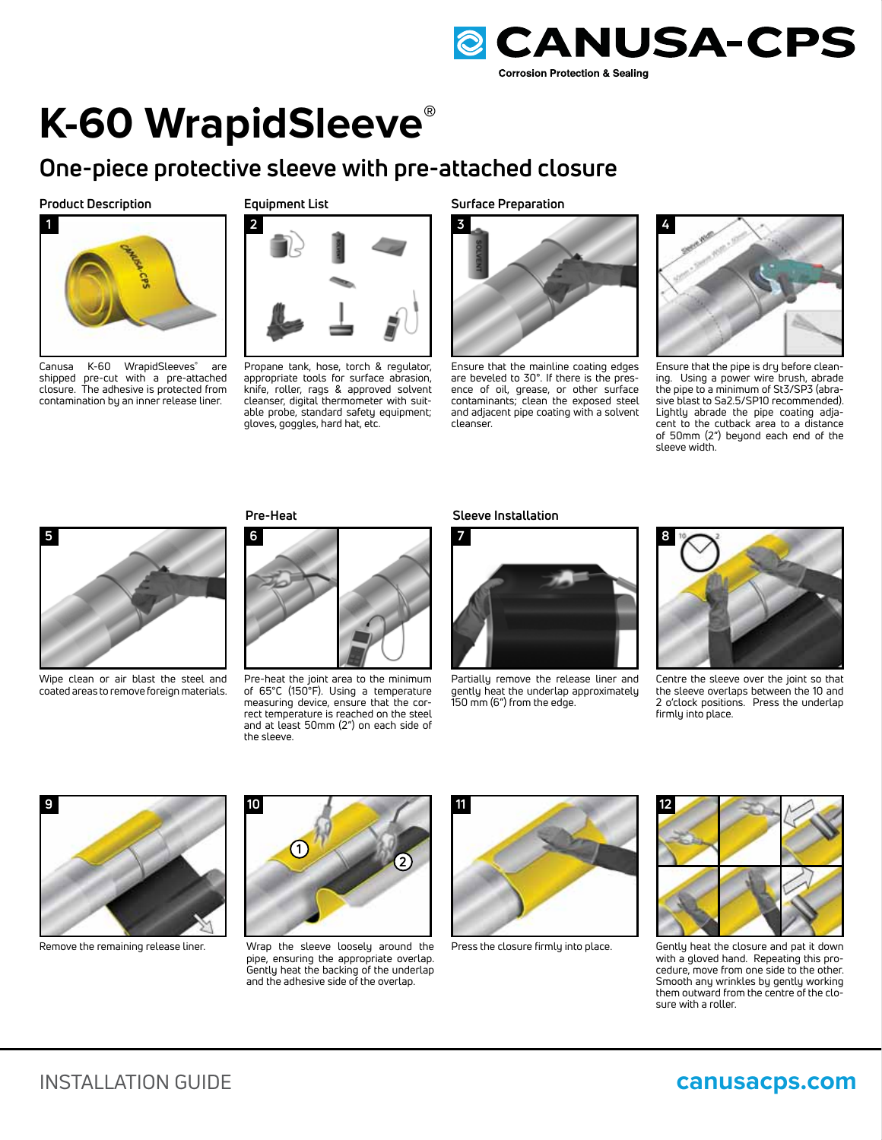

# **K-60 WrapidSleeve®**

# **One-piece protective sleeve with pre-attached closure**

# **Product Description**



Canusa K-60 WrapidSleeves**®** are shipped pre-cut with a pre-attached closure. The adhesive is protected from contamination by an inner release liner.

# **Equipment List**



Propane tank, hose, torch & regulator, appropriate tools for surface abrasion, knife, roller, rags & approved solvent cleanser, digital thermometer with suitable probe, standard safety equipment; gloves, goggles, hard hat, etc.

**Surface Preparation**



Ensure that the mainline coating edges are beveled to 30°. If there is the presence of oil, grease, or other surface contaminants; clean the exposed steel and adjacent pipe coating with a solvent cleanser.



Ensure that the pipe is dry before cleaning. Using a power wire brush, abrade the pipe to a minimum of St3/SP3 (abrasive blast to Sa2.5/SP10 recommended). Lightly abrade the pipe coating adjacent to the cutback area to a distance of 50mm (2") beyond each end of the sleeve width.



Wipe clean or air blast the steel and coated areas to remove foreign materials.

**Pre-Heat**



Pre-heat the joint area to the minimum of 65°C (150°F). Using a temperature measuring device, ensure that the correct temperature is reached on the steel and at least 50mm (2") on each side of the sleeve.

#### **Sleeve Installation**



Partially remove the release liner and gently heat the underlap approximately 150 mm (6") from the edge.



Centre the sleeve over the joint so that the sleeve overlaps between the 10 and 2 o'clock positions. Press the underlap firmly into place.



Remove the remaining release liner.



Wrap the sleeve loosely around the pipe, ensuring the appropriate overlap. Gently heat the backing of the underlap and the adhesive side of the overlap.



Press the closure firmly into place.



Gently heat the closure and pat it down with a gloved hand. Repeating this procedure, move from one side to the other. Smooth any wrinkles by gently working them outward from the centre of the closure with a roller.